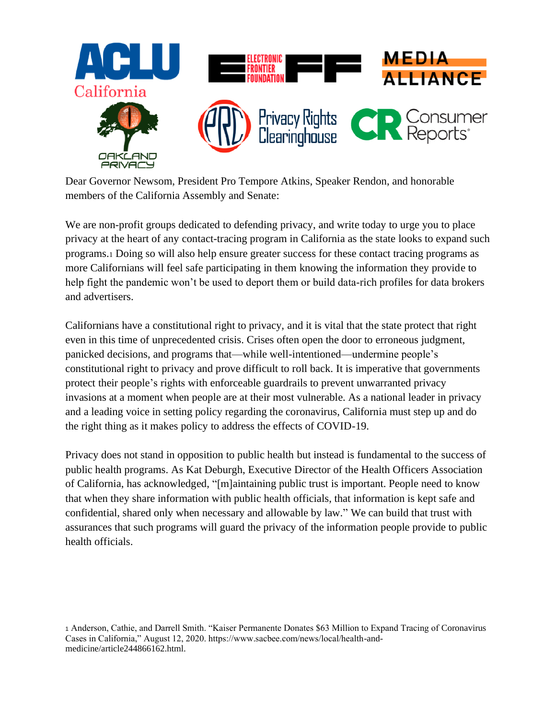

Dear Governor Newsom, President Pro Tempore Atkins, Speaker Rendon, and honorable members of the California Assembly and Senate:

We are non-profit groups dedicated to defending privacy, and write today to urge you to place privacy at the heart of any contact-tracing program in California as the state looks to expand such programs.<sup>1</sup> Doing so will also help ensure greater success for these contact tracing programs as more Californians will feel safe participating in them knowing the information they provide to help fight the pandemic won't be used to deport them or build data-rich profiles for data brokers and advertisers.

Californians have a constitutional right to privacy, and it is vital that the state protect that right even in this time of unprecedented crisis. Crises often open the door to erroneous judgment, panicked decisions, and programs that—while well-intentioned—undermine people's constitutional right to privacy and prove difficult to roll back. It is imperative that governments protect their people's rights with enforceable guardrails to prevent unwarranted privacy invasions at a moment when people are at their most vulnerable. As a national leader in privacy and a leading voice in setting policy regarding the coronavirus, California must step up and do the right thing as it makes policy to address the effects of COVID-19.

Privacy does not stand in opposition to public health but instead is fundamental to the success of public health programs. As Kat Deburgh, Executive Director of the Health Officers Association of California, has acknowledged, "[m]aintaining public trust is important. People need to know that when they share information with public health officials, that information is kept safe and confidential, shared only when necessary and allowable by law." We can build that trust with assurances that such programs will guard the privacy of the information people provide to public health officials.

<sup>1</sup> Anderson, Cathie, and Darrell Smith. "Kaiser Permanente Donates \$63 Million to Expand Tracing of Coronavirus Cases in California," August 12, 2020. https://www.sacbee.com/news/local/health-andmedicine/article244866162.html.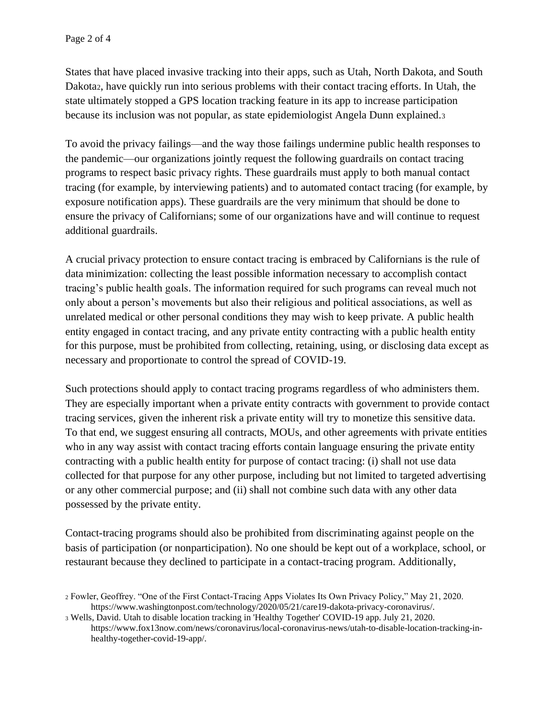States that have placed invasive tracking into their apps, such as Utah, North Dakota, and South Dakota2, have quickly run into serious problems with their contact tracing efforts. In Utah, the state ultimately stopped a GPS location tracking feature in its app to increase participation because its inclusion was not popular, as state epidemiologist Angela Dunn explained.<sup>3</sup>

To avoid the privacy failings—and the way those failings undermine public health responses to the pandemic—our organizations jointly request the following guardrails on contact tracing programs to respect basic privacy rights. These guardrails must apply to both manual contact tracing (for example, by interviewing patients) and to automated contact tracing (for example, by exposure notification apps). These guardrails are the very minimum that should be done to ensure the privacy of Californians; some of our organizations have and will continue to request additional guardrails.

A crucial privacy protection to ensure contact tracing is embraced by Californians is the rule of data minimization: collecting the least possible information necessary to accomplish contact tracing's public health goals. The information required for such programs can reveal much not only about a person's movements but also their religious and political associations, as well as unrelated medical or other personal conditions they may wish to keep private. A public health entity engaged in contact tracing, and any private entity contracting with a public health entity for this purpose, must be prohibited from collecting, retaining, using, or disclosing data except as necessary and proportionate to control the spread of COVID-19.

Such protections should apply to contact tracing programs regardless of who administers them. They are especially important when a private entity contracts with government to provide contact tracing services, given the inherent risk a private entity will try to monetize this sensitive data. To that end, we suggest ensuring all contracts, MOUs, and other agreements with private entities who in any way assist with contact tracing efforts contain language ensuring the private entity contracting with a public health entity for purpose of contact tracing: (i) shall not use data collected for that purpose for any other purpose, including but not limited to targeted advertising or any other commercial purpose; and (ii) shall not combine such data with any other data possessed by the private entity.

Contact-tracing programs should also be prohibited from discriminating against people on the basis of participation (or nonparticipation). No one should be kept out of a workplace, school, or restaurant because they declined to participate in a contact-tracing program. Additionally,

<sup>2</sup> Fowler, Geoffrey. "One of the First Contact-Tracing Apps Violates Its Own Privacy Policy," May 21, 2020. https://www.washingtonpost.com/technology/2020/05/21/care19-dakota-privacy-coronavirus/.

<sup>3</sup> Wells, David. Utah to disable location tracking in 'Healthy Together' COVID-19 app. July 21, 2020. https://www.fox13now.com/news/coronavirus/local-coronavirus-news/utah-to-disable-location-tracking-inhealthy-together-covid-19-app/.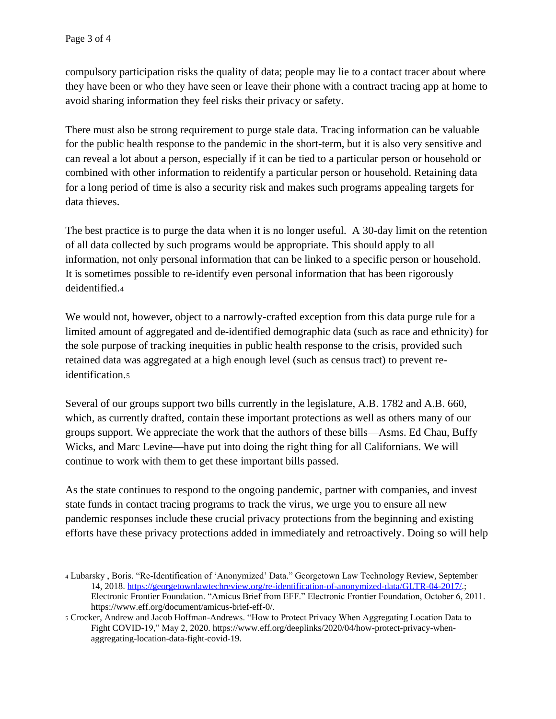compulsory participation risks the quality of data; people may lie to a contact tracer about where they have been or who they have seen or leave their phone with a contract tracing app at home to avoid sharing information they feel risks their privacy or safety.

There must also be strong requirement to purge stale data. Tracing information can be valuable for the public health response to the pandemic in the short-term, but it is also very sensitive and can reveal a lot about a person, especially if it can be tied to a particular person or household or combined with other information to reidentify a particular person or household. Retaining data for a long period of time is also a security risk and makes such programs appealing targets for data thieves.

The best practice is to purge the data when it is no longer useful. A 30-day limit on the retention of all data collected by such programs would be appropriate. This should apply to all information, not only personal information that can be linked to a specific person or household. It is sometimes possible to re-identify even personal information that has been rigorously deidentified.<sup>4</sup>

We would not, however, object to a narrowly-crafted exception from this data purge rule for a limited amount of aggregated and de-identified demographic data (such as race and ethnicity) for the sole purpose of tracking inequities in public health response to the crisis, provided such retained data was aggregated at a high enough level (such as census tract) to prevent reidentification.<sup>5</sup>

Several of our groups support two bills currently in the legislature, A.B. 1782 and A.B. 660, which, as currently drafted, contain these important protections as well as others many of our groups support. We appreciate the work that the authors of these bills—Asms. Ed Chau, Buffy Wicks, and Marc Levine—have put into doing the right thing for all Californians. We will continue to work with them to get these important bills passed.

As the state continues to respond to the ongoing pandemic, partner with companies, and invest state funds in contact tracing programs to track the virus, we urge you to ensure all new pandemic responses include these crucial privacy protections from the beginning and existing efforts have these privacy protections added in immediately and retroactively. Doing so will help

<sup>4</sup> Lubarsky , Boris. "Re-Identification of 'Anonymized' Data." Georgetown Law Technology Review, September 14, 2018. [https://georgetownlawtechreview.org/re-identification-of-anonymized-data/GLTR-04-2017/.](https://georgetownlawtechreview.org/re-identification-of-anonymized-data/GLTR-04-2017/); Electronic Frontier Foundation. "Amicus Brief from EFF." Electronic Frontier Foundation, October 6, 2011. https://www.eff.org/document/amicus-brief-eff-0/.

<sup>5</sup> Crocker, Andrew and Jacob Hoffman-Andrews. "How to Protect Privacy When Aggregating Location Data to Fight COVID-19," May 2, 2020. https://www.eff.org/deeplinks/2020/04/how-protect-privacy-whenaggregating-location-data-fight-covid-19.